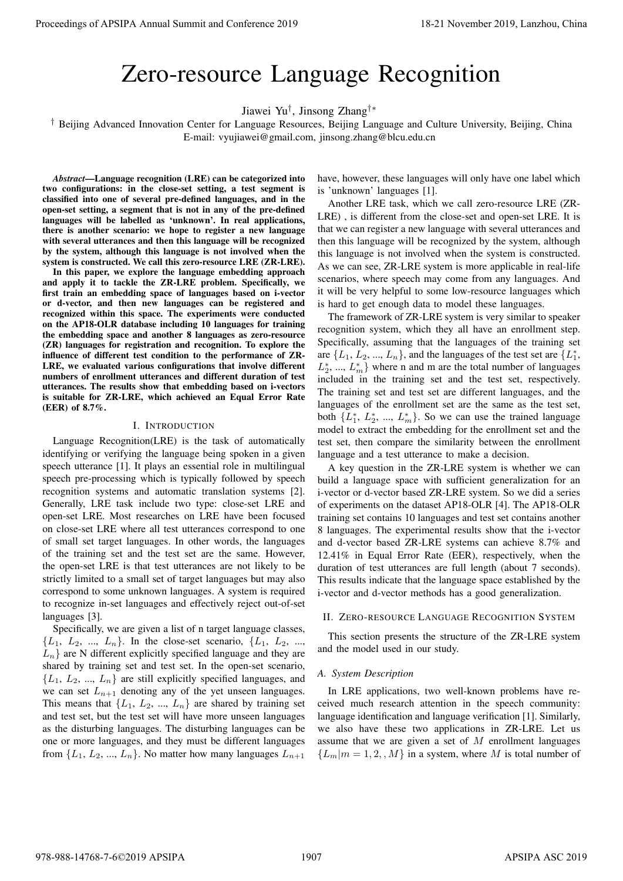# Zero-resource Language Recognition

Jiawei Yu*†* , Jinsong Zhang*†∗*

*†* Beijing Advanced Innovation Center for Language Resources, Beijing Language and Culture University, Beijing, China E-mail: vyujiawei@gmail.com, jinsong.zhang@blcu.edu.cn

*Abstract*—Language recognition (LRE) can be categorized into two configurations: in the close-set setting, a test segment is classified into one of several pre-defined languages, and in the open-set setting, a segment that is not in any of the pre-defined languages will be labelled as 'unknown'. In real applications, there is another scenario: we hope to register a new language with several utterances and then this language will be recognized by the system, although this language is not involved when the system is constructed. We call this zero-resource LRE (ZR-LRE).

In this paper, we explore the language embedding approach and apply it to tackle the ZR-LRE problem. Specifically, we first train an embedding space of languages based on i-vector or d-vector, and then new languages can be registered and recognized within this space. The experiments were conducted on the AP18-OLR database including 10 languages for training the embedding space and another 8 languages as zero-resource (ZR) languages for registration and recognition. To explore the influence of different test condition to the performance of ZR-LRE, we evaluated various configurations that involve different numbers of enrollment utterances and different duration of test utterances. The results show that embedding based on i-vectors is suitable for ZR-LRE, which achieved an Equal Error Rate (EER) of 8.7%.

#### I. INTRODUCTION

Language Recognition(LRE) is the task of automatically identifying or verifying the language being spoken in a given speech utterance [1]. It plays an essential role in multilingual speech pre-processing which is typically followed by speech recognition systems and automatic translation systems [2]. Generally, LRE task include two type: close-set LRE and open-set LRE. Most researches on LRE have been focused on close-set LRE where all test utterances correspond to one of small set target languages. In other words, the languages of the training set and the test set are the same. However, the open-set LRE is that test utterances are not likely to be strictly limited to a small set of target languages but may also correspond to some unknown languages. A system is required to recognize in-set languages and effectively reject out-of-set languages [3]. Proceedings of APSIPA Annual Summit and Conference 2019<br>
2. EPO-128SOUTCE Language Recognition<br>
2. EPO-128SOUTCE Language Recognition<br>
2. EPO-128SOUTCE Language Recognition<br>
2. The spin structure of the smallenge and comp

Specifically, we are given a list of n target language classes,  ${L_1, L_2, ..., L_n}$ . In the close-set scenario,  ${L_1, L_2, ..., L_n}$  $L_n$ } are N different explicitly specified language and they are shared by training set and test set. In the open-set scenario,  ${L_1, L_2, ..., L_n}$  are still explicitly specified languages, and we can set  $L_{n+1}$  denoting any of the yet unseen languages. This means that  $\{L_1, L_2, ..., L_n\}$  are shared by training set and test set, but the test set will have more unseen languages as the disturbing languages. The disturbing languages can be one or more languages, and they must be different languages from  $\{L_1, L_2, ..., L_n\}$ . No matter how many languages  $L_{n+1}$ 

have, however, these languages will only have one label which is 'unknown' languages [1].

Another LRE task, which we call zero-resource LRE (ZR-LRE) , is different from the close-set and open-set LRE. It is that we can register a new language with several utterances and then this language will be recognized by the system, although this language is not involved when the system is constructed. As we can see, ZR-LRE system is more applicable in real-life scenarios, where speech may come from any languages. And it will be very helpful to some low-resource languages which is hard to get enough data to model these languages.

The framework of ZR-LRE system is very similar to speaker recognition system, which they all have an enrollment step. Specifically, assuming that the languages of the training set are  $\{L_1, L_2, ..., L_n\}$ , and the languages of the test set are  $\{L_1^*\}$ ,  $L_2^*$ , ...,  $L_m^*$ } where n and m are the total number of languages included in the training set and the test set, respectively. The training set and test set are different languages, and the languages of the enrollment set are the same as the test set, both  $\{L_1^*, L_2^*, ..., L_m^*\}$ . So we can use the trained language model to extract the embedding for the enrollment set and the test set, then compare the similarity between the enrollment language and a test utterance to make a decision.

A key question in the ZR-LRE system is whether we can build a language space with sufficient generalization for an i-vector or d-vector based ZR-LRE system. So we did a series of experiments on the dataset AP18-OLR [4]. The AP18-OLR training set contains 10 languages and test set contains another 8 languages. The experimental results show that the i-vector and d-vector based ZR-LRE systems can achieve 8.7% and 12.41% in Equal Error Rate (EER), respectively, when the duration of test utterances are full length (about 7 seconds). This results indicate that the language space established by the i-vector and d-vector methods has a good generalization.

# II. ZERO-RESOURCE LANGUAGE RECOGNITION SYSTEM

This section presents the structure of the ZR-LRE system and the model used in our study.

#### *A. System Description*

In LRE applications, two well-known problems have received much research attention in the speech community: language identification and language verification [1]. Similarly, we also have these two applications in ZR-LRE. Let us assume that we are given a set of *M* enrollment languages  ${L_m|m = 1, 2, ..., M}$  in a system, where *M* is total number of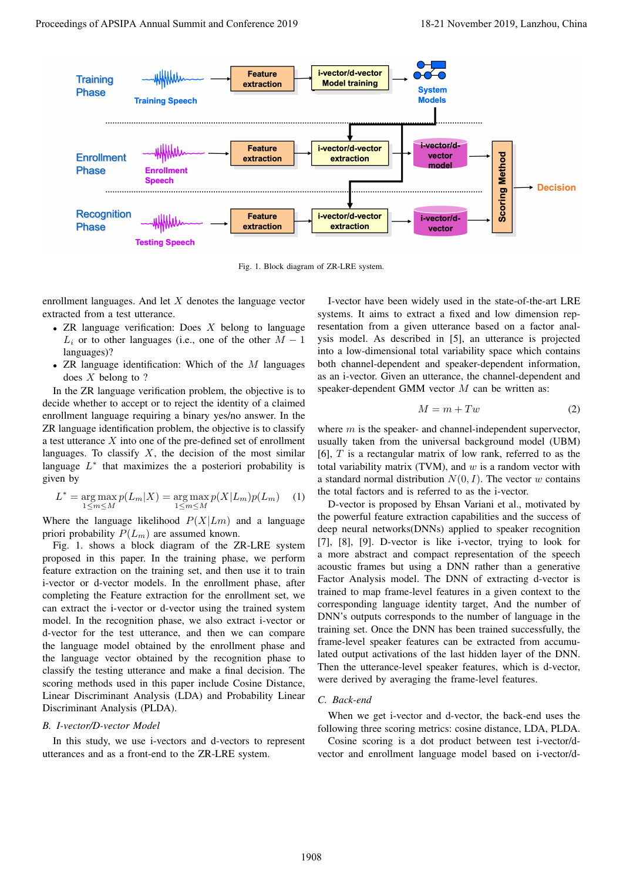

Fig. 1. Block diagram of ZR-LRE system.

enrollment languages. And let *X* denotes the language vector extracted from a test utterance.

- *•* ZR language verification: Does *X* belong to language  $L_i$  or to other languages (i.e., one of the other  $M-1$ languages)?
- *•* ZR language identification: Which of the *M* languages does *X* belong to ?

In the ZR language verification problem, the objective is to decide whether to accept or to reject the identity of a claimed enrollment language requiring a binary yes/no answer. In the ZR language identification problem, the objective is to classify a test utterance *X* into one of the pre-defined set of enrollment languages. To classify  $X$ , the decision of the most similar language  $L^*$  that maximizes the a posteriori probability is given by

$$
L^* = \underset{1 \le m \le M}{\arg \max} p(L_m|X) = \underset{1 \le m \le M}{\arg \max} p(X|L_m)p(L_m) \quad (1)
$$

Where the language likelihood  $P(X|Lm)$  and a language priori probability  $P(L_m)$  are assumed known.

Fig. 1. shows a block diagram of the ZR-LRE system proposed in this paper. In the training phase, we perform feature extraction on the training set, and then use it to train i-vector or d-vector models. In the enrollment phase, after completing the Feature extraction for the enrollment set, we can extract the i-vector or d-vector using the trained system model. In the recognition phase, we also extract i-vector or d-vector for the test utterance, and then we can compare the language model obtained by the enrollment phase and the language vector obtained by the recognition phase to classify the testing utterance and make a final decision. The scoring methods used in this paper include Cosine Distance, Linear Discriminant Analysis (LDA) and Probability Linear Discriminant Analysis (PLDA).

#### *B. I-vector/D-vector Model*

In this study, we use i-vectors and d-vectors to represent utterances and as a front-end to the ZR-LRE system.

I-vector have been widely used in the state-of-the-art LRE systems. It aims to extract a fixed and low dimension representation from a given utterance based on a factor analysis model. As described in [5], an utterance is projected into a low-dimensional total variability space which contains both channel-dependent and speaker-dependent information, as an i-vector. Given an utterance, the channel-dependent and speaker-dependent GMM vector *M* can be written as:

$$
M = m + Tw \tag{2}
$$

where *m* is the speaker- and channel-independent supervector, usually taken from the universal background model (UBM) [6], *T* is a rectangular matrix of low rank, referred to as the total variability matrix (TVM), and *w* is a random vector with a standard normal distribution  $N(0, I)$ . The vector *w* contains the total factors and is referred to as the i-vector.

D-vector is proposed by Ehsan Variani et al., motivated by the powerful feature extraction capabilities and the success of deep neural networks(DNNs) applied to speaker recognition [7], [8], [9]. D-vector is like i-vector, trying to look for a more abstract and compact representation of the speech acoustic frames but using a DNN rather than a generative Factor Analysis model. The DNN of extracting d-vector is trained to map frame-level features in a given context to the corresponding language identity target, And the number of DNN's outputs corresponds to the number of language in the training set. Once the DNN has been trained successfully, the frame-level speaker features can be extracted from accumulated output activations of the last hidden layer of the DNN. Then the utterance-level speaker features, which is d-vector, were derived by averaging the frame-level features.

# *C. Back-end*

When we get i-vector and d-vector, the back-end uses the following three scoring metrics: cosine distance, LDA, PLDA.

Cosine scoring is a dot product between test i-vector/dvector and enrollment language model based on i-vector/d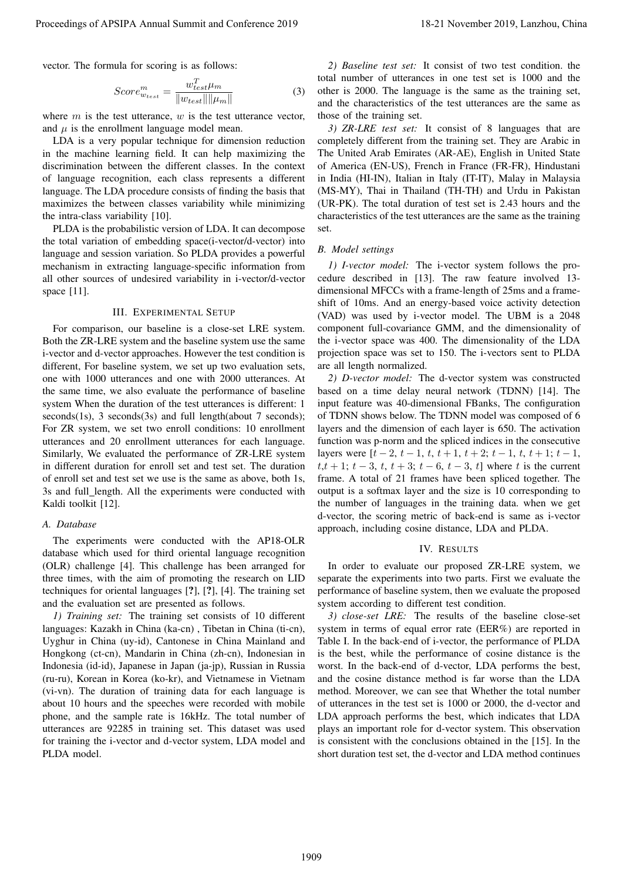vector. The formula for scoring is as follows:

$$
Score_{w_{test}}^m = \frac{w_{test}^T \mu_m}{\|w_{test}\| \|\mu_m\|}
$$
(3)

where *m* is the test utterance, *w* is the test utterance vector, and  $\mu$  is the enrollment language model mean.

LDA is a very popular technique for dimension reduction in the machine learning field. It can help maximizing the discrimination between the different classes. In the context of language recognition, each class represents a different language. The LDA procedure consists of finding the basis that maximizes the between classes variability while minimizing the intra-class variability [10].

PLDA is the probabilistic version of LDA. It can decompose the total variation of embedding space(i-vector/d-vector) into language and session variation. So PLDA provides a powerful mechanism in extracting language-specific information from all other sources of undesired variability in i-vector/d-vector space [11].

#### III. EXPERIMENTAL SETUP

For comparison, our baseline is a close-set LRE system. Both the ZR-LRE system and the baseline system use the same i-vector and d-vector approaches. However the test condition is different, For baseline system, we set up two evaluation sets, one with 1000 utterances and one with 2000 utterances. At the same time, we also evaluate the performance of baseline system When the duration of the test utterances is different: 1 seconds(1s), 3 seconds(3s) and full length(about 7 seconds); For ZR system, we set two enroll conditions: 10 enrollment utterances and 20 enrollment utterances for each language. Similarly, We evaluated the performance of ZR-LRE system in different duration for enroll set and test set. The duration of enroll set and test set we use is the same as above, both 1s, 3s and full length. All the experiments were conducted with Kaldi toolkit [12]. Proceedings of APSIPA Annual Summit and Conference 2019 18-21 November 2019, Lanzhou, China 1909

#### *A. Database*

The experiments were conducted with the AP18-OLR database which used for third oriental language recognition (OLR) challenge [4]. This challenge has been arranged for three times, with the aim of promoting the research on LID techniques for oriental languages [?], [?], [4]. The training set and the evaluation set are presented as follows.

*1) Training set:* The training set consists of 10 different languages: Kazakh in China (ka-cn) , Tibetan in China (ti-cn), Uyghur in China (uy-id), Cantonese in China Mainland and Hongkong (ct-cn), Mandarin in China (zh-cn), Indonesian in Indonesia (id-id), Japanese in Japan (ja-jp), Russian in Russia (ru-ru), Korean in Korea (ko-kr), and Vietnamese in Vietnam (vi-vn). The duration of training data for each language is about 10 hours and the speeches were recorded with mobile phone, and the sample rate is 16kHz. The total number of utterances are 92285 in training set. This dataset was used for training the i-vector and d-vector system, LDA model and PLDA model.

*2) Baseline test set:* It consist of two test condition. the total number of utterances in one test set is 1000 and the other is 2000. The language is the same as the training set, and the characteristics of the test utterances are the same as those of the training set.

*3) ZR-LRE test set:* It consist of 8 languages that are completely different from the training set. They are Arabic in The United Arab Emirates (AR-AE), English in United State of America (EN-US), French in France (FR-FR), Hindustani in India (HI-IN), Italian in Italy (IT-IT), Malay in Malaysia (MS-MY), Thai in Thailand (TH-TH) and Urdu in Pakistan (UR-PK). The total duration of test set is 2.43 hours and the characteristics of the test utterances are the same as the training set.

#### *B. Model settings*

*1) I-vector model:* The i-vector system follows the procedure described in [13]. The raw feature involved 13 dimensional MFCCs with a frame-length of 25ms and a frameshift of 10ms. And an energy-based voice activity detection (VAD) was used by i-vector model. The UBM is a 2048 component full-covariance GMM, and the dimensionality of the i-vector space was 400. The dimensionality of the LDA projection space was set to 150. The i-vectors sent to PLDA are all length normalized.

*2) D-vector model:* The d-vector system was constructed based on a time delay neural network (TDNN) [14]. The input feature was 40-dimensional FBanks, The configuration of TDNN shows below. The TDNN model was composed of 6 layers and the dimension of each layer is 650. The activation function was p-norm and the spliced indices in the consecutive layers were  $[t-2, t-1, t, t+1, t+2; t-1, t, t+1; t-1,$  $t, t + 1$ ;  $t - 3$ ,  $t, t + 3$ ;  $t - 6$ ,  $t - 3$ ,  $t$ ] where  $t$  is the current frame. A total of 21 frames have been spliced together. The output is a softmax layer and the size is 10 corresponding to the number of languages in the training data. when we get d-vector, the scoring metric of back-end is same as i-vector approach, including cosine distance, LDA and PLDA.

#### IV. RESULTS

In order to evaluate our proposed ZR-LRE system, we separate the experiments into two parts. First we evaluate the performance of baseline system, then we evaluate the proposed system according to different test condition.

*3) close-set LRE:* The results of the baseline close-set system in terms of equal error rate (EER%) are reported in Table I. In the back-end of i-vector, the performance of PLDA is the best, while the performance of cosine distance is the worst. In the back-end of d-vector, LDA performs the best, and the cosine distance method is far worse than the LDA method. Moreover, we can see that Whether the total number of utterances in the test set is 1000 or 2000, the d-vector and LDA approach performs the best, which indicates that LDA plays an important role for d-vector system. This observation is consistent with the conclusions obtained in the [15]. In the short duration test set, the d-vector and LDA method continues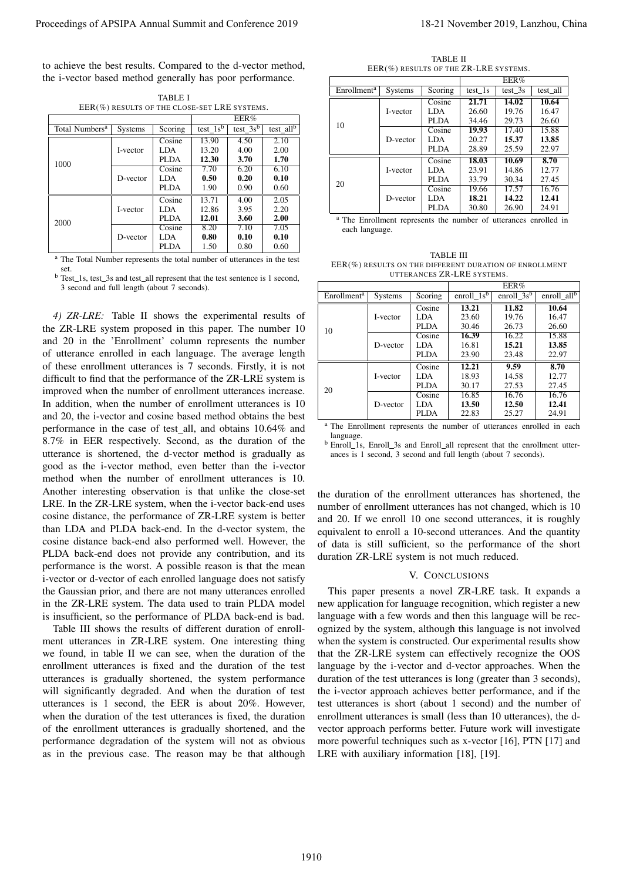to achieve the best results. Compared to the d-vector method, the i-vector based method generally has poor performance.

|                            | EER(%) RESULTS OF THE CLOSE-SET LRE SYSTEMS. |             |            |             |                         |  |
|----------------------------|----------------------------------------------|-------------|------------|-------------|-------------------------|--|
|                            |                                              |             | EER%       |             |                         |  |
| Total Numbers <sup>a</sup> | <b>Systems</b>                               | Scoring     | test $1sb$ | $test_3s^b$ | test_all $\overline{b}$ |  |
| 1000                       |                                              | Cosine      | 13.90      | 4.50        | 2.10                    |  |
|                            | I-vector                                     | LDA         | 13.20      | 4.00        | 2.00                    |  |
|                            |                                              | <b>PLDA</b> | 12.30      | 3.70        | 1.70                    |  |
|                            | D-vector                                     | Cosine      | 7.70       | 6.20        | 6.10                    |  |
|                            |                                              | LDA         | 0.50       | 0.20        | 0.10                    |  |
|                            |                                              | <b>PLDA</b> | 1.90       | 0.90        | 0.60                    |  |
| 2000                       |                                              | Cosine      | 13.71      | 4.00        | 2.05                    |  |
|                            | I-vector                                     | LDA         | 12.86      | 3.95        | 2.20                    |  |
|                            |                                              | PLDA        | 12.01      | 3.60        | 2.00                    |  |
|                            | D-vector                                     | Cosine      | 8.20       | 7.10        | 7.05                    |  |
|                            |                                              | LDA         | 0.80       | 0.10        | 0.10                    |  |
|                            |                                              | <b>PLDA</b> | 1.50       | 0.80        | 0.60                    |  |

TABLE I EER(%) DESULTS OF THE CLOSE-SET LRE SYSTEMS.

<sup>a</sup> The Total Number represents the total number of utterances in the test set.

<sup>b</sup> Test\_1s, test\_3s and test\_all represent that the test sentence is 1 second, 3 second and full length (about 7 seconds).

*4) ZR-LRE:* Table II shows the experimental results of the ZR-LRE system proposed in this paper. The number 10 and 20 in the 'Enrollment' column represents the number of utterance enrolled in each language. The average length of these enrollment utterances is 7 seconds. Firstly, it is not difficult to find that the performance of the ZR-LRE system is improved when the number of enrollment utterances increase. In addition, when the number of enrollment utterances is 10 and 20, the i-vector and cosine based method obtains the best performance in the case of test all, and obtains 10.64% and 8.7% in EER respectively. Second, as the duration of the utterance is shortened, the d-vector method is gradually as good as the i-vector method, even better than the i-vector method when the number of enrollment utterances is 10. Another interesting observation is that unlike the close-set LRE. In the ZR-LRE system, when the i-vector back-end uses cosine distance, the performance of ZR-LRE system is better than LDA and PLDA back-end. In the d-vector system, the cosine distance back-end also performed well. However, the PLDA back-end does not provide any contribution, and its performance is the worst. A possible reason is that the mean i-vector or d-vector of each enrolled language does not satisfy the Gaussian prior, and there are not many utterances enrolled in the ZR-LRE system. The data used to train PLDA model is insufficient, so the performance of PLDA back-end is bad. Proceedings of APSIPA Annual Summit at China 2019 18-21 November 2019 18-21 November 2019 18-21 November 2019 18-21 November 2019 18-21 November 2019 18-21 November 2019 18-21 November 2019 18-21 November 2019 18:30 Novem

Table III shows the results of different duration of enrollment utterances in ZR-LRE system. One interesting thing we found, in table II we can see, when the duration of the enrollment utterances is fixed and the duration of the test utterances is gradually shortened, the system performance will significantly degraded. And when the duration of test utterances is 1 second, the EER is about 20%. However, when the duration of the test utterances is fixed, the duration of the enrollment utterances is gradually shortened, and the performance degradation of the system will not as obvious as in the previous case. The reason may be that although

TABLE II EER(%) RESULTS OF THE ZR-LRE SYSTEMS.

|                         |          |         | EER%    |                    |          |
|-------------------------|----------|---------|---------|--------------------|----------|
| Enrollment <sup>a</sup> | Systems  | Scoring | test 1s | test $3s$          | test all |
| 10                      | I-vector | Cosine  | 21.71   | $\overline{14.02}$ | 10.64    |
|                         |          | LDA     | 26.60   | 19.76              | 16.47    |
|                         |          | PLDA    | 34.46   | 29.73              | 26.60    |
|                         | D-vector | Cosine  | 19.93   | 17.40              | 15.88    |
|                         |          | LDA     | 20.27   | 15.37              | 13.85    |
|                         |          | PLDA    | 28.89   | 25.59              | 22.97    |
| 20                      | I-vector | Cosine  | 18.03   | 10.69              | 8.70     |
|                         |          | LDA     | 23.91   | 14.86              | 12.77    |
|                         |          | PLDA    | 33.79   | 30.34              | 27.45    |
|                         | D-vector | Cosine  | 19.66   | 17.57              | 16.76    |
|                         |          | LDA     | 18.21   | 14.22              | 12.41    |
|                         |          | PLDA    | 30.80   | 26.90              | 24.91    |

<sup>a</sup> The Enrollment represents the number of utterances enrolled in each language.

TABLE III EER(%) RESULTS ON THE DIFFERENT DURATION OF ENROLLMENT UTTERANCES ZR-LRE SYSTEMS.

|                         |          |             | EER%           |                    |                |  |
|-------------------------|----------|-------------|----------------|--------------------|----------------|--|
| Enrollment <sup>a</sup> | Systems  | Scoring     | enroll_ $1s^b$ | enroll_ $3s^b$     | enroll_ $allb$ |  |
| 10                      | I-vector | Cosine      | 13.21          | $11.\overline{82}$ | 10.64          |  |
|                         |          | LDA.        | 23.60          | 19.76              | 16.47          |  |
|                         |          | PLDA        | 30.46          | 26.73              | 26.60          |  |
|                         | D-vector | Cosine      | 16.39          | 16.22              | 15.88          |  |
|                         |          | LDA.        | 16.81          | 15.21              | 13.85          |  |
|                         |          | <b>PLDA</b> | 23.90          | 23.48              | 22.97          |  |
| 20                      | I-vector | Cosine      | 12.21          | 9.59               | 8.70           |  |
|                         |          | LDA.        | 18.93          | 14.58              | 12.77          |  |
|                         |          | PLDA        | 30.17          | 27.53              | 27.45          |  |
|                         | D-vector | Cosine      | 16.85          | 16.76              | 16.76          |  |
|                         |          | LDA.        | 13.50          | 12.50              | 12.41          |  |
|                         |          | <b>PLDA</b> | 22.83          | 25.27              | 24.91          |  |

<sup>a</sup> The Enrollment represents the number of utterances enrolled in each language.

b Enroll 1s, Enroll 3s and Enroll all represent that the enrollment utterances is 1 second, 3 second and full length (about 7 seconds).

the duration of the enrollment utterances has shortened, the number of enrollment utterances has not changed, which is 10 and 20. If we enroll 10 one second utterances, it is roughly equivalent to enroll a 10-second utterances. And the quantity of data is still sufficient, so the performance of the short duration ZR-LRE system is not much reduced.

# V. CONCLUSIONS

This paper presents a novel ZR-LRE task. It expands a new application for language recognition, which register a new language with a few words and then this language will be recognized by the system, although this language is not involved when the system is constructed. Our experimental results show that the ZR-LRE system can effectively recognize the OOS language by the i-vector and d-vector approaches. When the duration of the test utterances is long (greater than 3 seconds), the i-vector approach achieves better performance, and if the test utterances is short (about 1 second) and the number of enrollment utterances is small (less than 10 utterances), the dvector approach performs better. Future work will investigate more powerful techniques such as x-vector [16], PTN [17] and LRE with auxiliary information [18], [19].